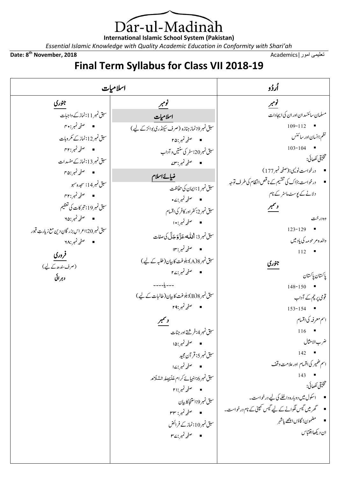)ar-ul-Madinàh  $\mathbf 1$ **International Islamic School System (Pakistan)**

*Essential Islamic Knowledge with Quality Academic Education in Conformity with Shari'ah*

Date: 8<sup>th</sup> November, 2018

**th November, 2018** Academics|امور تعلیمی

## **Final Term Syllabus for Class VII 2018-19**

13.6  
\n
$$
\frac{6.96}{4.16}
$$
\n
$$
\frac{6.96}{4.16}
$$
\n
$$
\frac{3.96}{4.16}
$$
\n
$$
\frac{3.96}{4.16}
$$
\n
$$
\frac{3.96}{4.16}
$$
\n
$$
\frac{3.96}{4.16}
$$
\n
$$
\frac{3.96}{4.16}
$$
\n
$$
\frac{3.96}{4.16}
$$
\n
$$
\frac{3.96}{4.16}
$$
\n
$$
\frac{3.96}{4.16}
$$
\n
$$
\frac{3.96}{4.16}
$$
\n
$$
\frac{3.96}{4.16}
$$
\n
$$
\frac{3.96}{4.16}
$$
\n
$$
\frac{3.96}{4.16}
$$
\n
$$
\frac{3.96}{4.16}
$$
\n
$$
\frac{3.96}{4.16}
$$
\n
$$
\frac{3.96}{4.16}
$$
\n
$$
\frac{3.96}{4.16}
$$
\n
$$
\frac{3.96}{4.16}
$$
\n
$$
\frac{3.96}{4.16}
$$
\n
$$
\frac{3.96}{4.16}
$$
\n
$$
\frac{3.96}{4.16}
$$
\n
$$
\frac{3.96}{4.16}
$$
\n
$$
\frac{3.96}{4.16}
$$
\n
$$
\frac{3.96}{4.16}
$$
\n
$$
\frac{3.96}{4.16}
$$
\n
$$
\frac{3.96}{4.16}
$$
\n
$$
\frac{3.96}{4.16}
$$
\n
$$
\frac{3.96}{4.16}
$$
\n
$$
\frac{3.96}{4.16}
$$
\n
$$
\frac{3.96}{4.16}
$$
\n
$$
\frac{3.96}{4.16}
$$
\n
$$
\frac{3.96}{4.16}
$$
\n
$$
\frac{3.96}{4.16}
$$
\n
$$
\frac{3.96}{4.16}
$$
\n
$$
\frac{3.96}{4.16}
$$
\n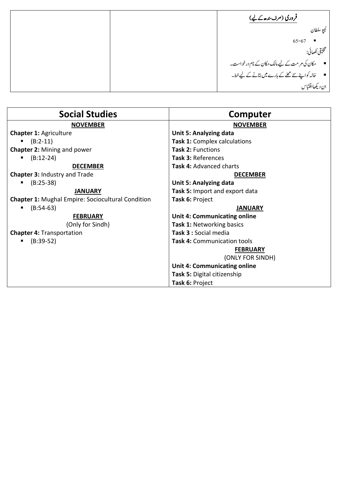|  | فروری (مرف بندھ کے لیے)                             |
|--|-----------------------------------------------------|
|  | ٹیبو سلطان                                          |
|  | $65 - 67$<br>٠                                      |
|  | تخليقي لكھائي:                                      |
|  | ■ مکان کی مرمت کے لیے مالک مکان کے نام درخواست۔     |
|  | ■ خالہ کواپنے نئے محلے کے بارے میں بتانے کے لیے خط۔ |
|  | ان دیکھااقتباس                                      |

| <b>Social Studies</b>                                    | Computer                            |  |
|----------------------------------------------------------|-------------------------------------|--|
| <b>NOVEMBER</b>                                          | <b>NOVEMBER</b>                     |  |
| <b>Chapter 1: Agriculture</b>                            | <b>Unit 5: Analyzing data</b>       |  |
| $(B:2-11)$                                               | Task 1: Complex calculations        |  |
| <b>Chapter 2: Mining and power</b>                       | Task 2: Functions                   |  |
| $(B:12-24)$                                              | Task 3: References                  |  |
| <b>DECEMBER</b>                                          | <b>Task 4: Advanced charts</b>      |  |
| <b>Chapter 3: Industry and Trade</b>                     | <b>DECEMBER</b>                     |  |
| $(B:25-38)$                                              | Unit 5: Analyzing data              |  |
| <b>JANUARY</b>                                           | Task 5: Import and export data      |  |
| <b>Chapter 1: Mughal Empire: Sociocultural Condition</b> | Task 6: Project                     |  |
| $(B:54-63)$                                              | <b>JANUARY</b>                      |  |
| <b>FEBRUARY</b>                                          | <b>Unit 4: Communicating online</b> |  |
| (Only for Sindh)                                         | <b>Task 1: Networking basics</b>    |  |
| <b>Chapter 4: Transportation</b>                         | Task 3 : Social media               |  |
| $(B:39-52)$                                              | <b>Task 4: Communication tools</b>  |  |
|                                                          | <b>FEBRUARY</b>                     |  |
|                                                          | (ONLY FOR SINDH)                    |  |
|                                                          | <b>Unit 4: Communicating online</b> |  |
|                                                          | Task 5: Digital citizenship         |  |
|                                                          | Task 6: Project                     |  |